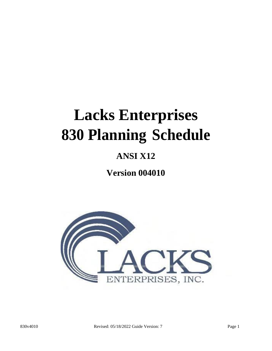# **Lacks Enterprises 830 Planning Schedule**

## **ANSI X12**

**Version 004010**

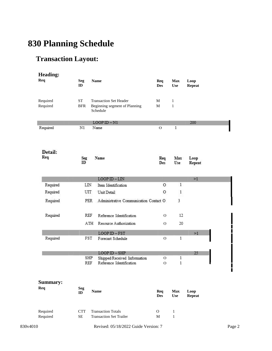# **830 Planning Schedule**

## **Transaction Layout:**

| <b>Heading:</b>        |                         |                                                             |                   |                              |                       |
|------------------------|-------------------------|-------------------------------------------------------------|-------------------|------------------------------|-----------------------|
| <b>Req</b>             | <b>Seg</b><br>ID        | <b>Name</b>                                                 | Req<br><b>Des</b> | <b>Max</b><br><b>Use</b>     | Loop<br><b>Repeat</b> |
| Required               | ST                      | <b>Transaction Set Header</b>                               | М                 | $\mathbf{1}$                 |                       |
| Required               | <b>BFR</b>              | Beginning segment of Planning<br>Schedule                   | М                 | $\mathbf{1}$                 |                       |
|                        |                         | $LOOPID - N1$                                               |                   |                              | 200                   |
| Required               | N1                      | Name                                                        | O                 | $\mathbf{1}$                 |                       |
| Detail:<br>Req         | Seg<br>ID               | Name                                                        | Req<br>Des        | Max<br>Use                   | Loop<br>Repeat        |
|                        |                         | $LOOPID-LIN$                                                |                   |                              | >1                    |
| Required               | LIN                     | Item Identification                                         | 0                 | $\mathbf{1}$                 |                       |
| Required               | UIT                     | Unit Detail                                                 | 0                 | $\mathbf{1}$                 |                       |
| Required               | <b>PER</b>              | Administrative Communication Contact O                      |                   | 3                            |                       |
| Required               | REF                     | Reference Identification                                    | О                 | 12                           |                       |
|                        |                         | ATH<br>Resource Authorization                               | О                 | 20                           |                       |
|                        |                         | $LOOP$ ID $-$ FST                                           |                   |                              | >1                    |
| Required               | FST                     | Forecast Schedule                                           | O                 | 1                            |                       |
|                        |                         | $LOOP$ ID $-$ SHP                                           |                   |                              | 25                    |
|                        |                         | SHP<br>Shipped/Received Information                         | O                 | 1                            |                       |
|                        | REF                     | Reference Identification                                    | O                 | 1                            |                       |
| <b>Summary:</b><br>Req | <b>Seg</b><br>ID        | <b>Name</b>                                                 | Req<br><b>Des</b> | <b>Max</b><br><b>Use</b>     | Loop<br><b>Repeat</b> |
| Required<br>Required   | <b>CTT</b><br><b>SE</b> | <b>Transaction Totals</b><br><b>Transaction Set Trailer</b> | $\mathbf{O}$<br>M | $\mathbf{1}$<br>$\mathbf{1}$ |                       |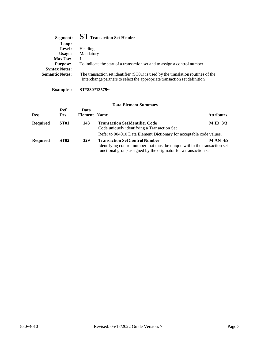| Segment:               | $\mathbf{ST}$ Transaction Set Header                                                                                                                          |
|------------------------|---------------------------------------------------------------------------------------------------------------------------------------------------------------|
| Loop:                  |                                                                                                                                                               |
| Level:                 | Heading                                                                                                                                                       |
| Usage:                 | Mandatory                                                                                                                                                     |
| <b>Max Use:</b>        |                                                                                                                                                               |
| <b>Purpose:</b>        | To indicate the start of a transaction set and to assign a control number                                                                                     |
| <b>Syntax Notes:</b>   |                                                                                                                                                               |
| <b>Semantic Notes:</b> | The transaction set identifier (ST01) is used by the translation routines of the<br>interchange partners to select the appropriate transaction set definition |

**Examples: ST\*830\*13579~**

| Req.            | Ref.<br>Des.     | Data<br><b>Element Name</b> |                                                                                                                                                                                         | <b>Attributes</b> |
|-----------------|------------------|-----------------------------|-----------------------------------------------------------------------------------------------------------------------------------------------------------------------------------------|-------------------|
| Required        | ST <sub>01</sub> | 143                         | <b>Transaction SetIdentifier Code</b><br>Code uniquely identifying a Transaction Set<br>Refer to 004010 Data Element Dictionary for acceptable code values.                             | $M ID$ 3/3        |
| <b>Required</b> | <b>ST02</b>      | 329                         | <b>Transaction Set Control Number</b><br>Identifying control number that must be unique within the transaction set<br>functional group assigned by the originator for a transaction set | <b>MAN 4/9</b>    |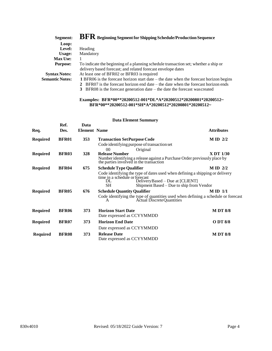| Segment:               | $\rm\,BFR$ Beginning Segment for Shipping Schedule/Production Sequence                          |
|------------------------|-------------------------------------------------------------------------------------------------|
| Loop:                  |                                                                                                 |
| Level:                 | Heading                                                                                         |
| Usage:                 | Mandatory                                                                                       |
| <b>Max Use:</b>        |                                                                                                 |
| <b>Purpose:</b>        | To indicate the beginning of a planning schedule transaction set; whether a ship or             |
|                        | delivery based forecast; and related forecast envelope dates                                    |
| <b>Syntax Notes:</b>   | At least one of BFR02 or BFR03 is required                                                      |
| <b>Semantic Notes:</b> | <b>1</b> BFR06 is the forecast horizon start date $-$ the date when the forecast horizon begins |
|                        | 2 BFR07 is the forecast horizon end date – the date when the forecast horizon ends              |
|                        | <b>3</b> BFR08 is the forecast generation date $-$ the date the forecast was created            |

#### **Examples: BFR\*00\*\*20200512-001\*DL\*A\*20200512\*20200801\*20200512~ BFR\*00\*\*20200512-001\*SH\*A\*20200512\*20200801\*20200512~**

| Req.            | Ref.<br>Des. | Data<br><b>Element Name</b> |                                                                                                                                                                                                                | <b>Attributes</b> |
|-----------------|--------------|-----------------------------|----------------------------------------------------------------------------------------------------------------------------------------------------------------------------------------------------------------|-------------------|
| <b>Required</b> | <b>BFR01</b> | <b>353</b>                  | <b>Transaction Set Purpose Code</b>                                                                                                                                                                            | $M ID$ 2/2        |
| <b>Required</b> | <b>BFR03</b> | 328                         | Code identifying purpose of transaction set<br>Original<br>00<br><b>Release Number</b><br>Number identifying a release against a Purchase Order previously place by<br>the parties involved in the transaction | <b>X DT 1/30</b>  |
| <b>Required</b> | <b>BFR04</b> | 675                         | <b>Schedule Type Qualifier</b>                                                                                                                                                                                 | $M ID$ 2/2        |
|                 |              |                             | Code identifying the type of dates used when defining a shipping or delivery<br>time in a schedule or forecast<br>DeliveryBased – Due at [CLIENT]<br>DL<br>SН<br>Shipment Based – Due to ship from Vendor      |                   |
| <b>Required</b> | <b>BFR05</b> | 676                         | <b>Schedule Quantity Qualifier</b>                                                                                                                                                                             | $M ID$ 1/1        |
|                 |              |                             | Code identifying the type of quantities used when defining a schedule or forecast<br><b>Actual Discrete Quantities</b><br>A                                                                                    |                   |
| <b>Required</b> | <b>BFR06</b> | 373                         | <b>Horizon Start Date</b><br>Date expressed as CCYYMMDD                                                                                                                                                        | <b>MDT 8/8</b>    |
| <b>Required</b> | <b>BFR07</b> | 373                         | <b>Horizon End Date</b>                                                                                                                                                                                        | O DT 8/8          |
|                 |              |                             | Date expressed as CCYYMMDD                                                                                                                                                                                     |                   |
| <b>Required</b> | <b>BFR08</b> | 373                         | <b>Release Date</b><br>Date expressed as CCYYMMDD                                                                                                                                                              | <b>MDT 8/8</b>    |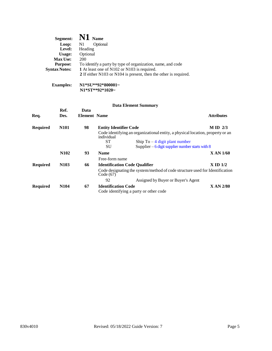| Segment:             | $\mathbf{N1}$ Name                                               |
|----------------------|------------------------------------------------------------------|
| Loop:                | N1<br>Optional                                                   |
| Level:               | Heading                                                          |
| Usage:               | Optional                                                         |
| <b>Max Use:</b>      | 200                                                              |
| <b>Purpose:</b>      | To identify a party by type of organization, name, and code      |
| <b>Syntax Notes:</b> | 1 At least one of N102 or N103 is required.                      |
|                      | 2 If either N103 or N104 is present, then the other is required. |
| <b>Examples:</b>     | N1*SU**92*800001~                                                |

**N1\*ST\*\*92\*1020~**

| Req.            | Ref.<br>Des.     | Data<br><b>Element Name</b> |                                        |                                                                                | <b>Attributes</b> |
|-----------------|------------------|-----------------------------|----------------------------------------|--------------------------------------------------------------------------------|-------------------|
| <b>Required</b> | <b>N101</b>      | 98                          | <b>Entity Identifier Code</b>          |                                                                                | $M$ ID $2/3$      |
|                 |                  |                             | individual                             | Code identifying an organizational entity, a physical location, property or an |                   |
|                 |                  |                             | ST                                     | Ship To $-4$ digit plant number                                                |                   |
|                 |                  |                             | SU                                     | Supplier $-6$ digit supplier number starts with 8                              |                   |
|                 | N <sub>102</sub> | 93                          | <b>Name</b>                            |                                                                                | <b>XAN 1/60</b>   |
|                 |                  |                             | Free-form name                         |                                                                                |                   |
| <b>Required</b> | N <sub>103</sub> | 66                          | <b>Identification Code Qualifier</b>   |                                                                                | $X$ ID $1/2$      |
|                 |                  |                             | Code (67)                              | Code designating the system/method of code structure used for Identification   |                   |
|                 |                  |                             | 92                                     | Assigned by Buyer or Buyer's Agent                                             |                   |
| <b>Required</b> | <b>N104</b>      | 67                          | <b>Identification Code</b>             |                                                                                | <b>XAN 2/80</b>   |
|                 |                  |                             | Code identifying a party or other code |                                                                                |                   |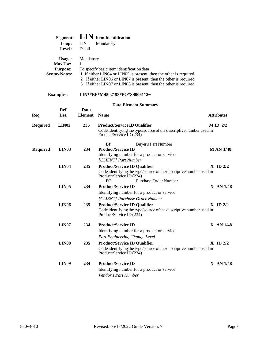|                 | Segment:<br>Loop:<br>Level:                                          | LIN<br>Detail          | <b>LIN</b> Item Identification<br>Mandatory                                                                                                                                                                                                              |                   |
|-----------------|----------------------------------------------------------------------|------------------------|----------------------------------------------------------------------------------------------------------------------------------------------------------------------------------------------------------------------------------------------------------|-------------------|
|                 | <b>Usage:</b><br><b>Max Use:</b><br>Purpose:<br><b>Syntax Notes:</b> | Mandatory<br>1         | To specify basic item identification data<br>1 If either LIN04 or LIN05 is present, then the other is required<br>2 If either LIN06 or LIN07 is present, then the other is required<br>3 If either LIN07 or LIN08 is present, then the other is required |                   |
|                 | <b>Examples:</b>                                                     |                        | LIN**BP*M4502198*PO*SS006112~                                                                                                                                                                                                                            |                   |
|                 |                                                                      |                        | <b>Data Element Summary</b>                                                                                                                                                                                                                              |                   |
| Req.            | Ref.<br>Des.                                                         | Data<br><b>Element</b> | <b>Name</b>                                                                                                                                                                                                                                              | <b>Attributes</b> |
| <b>Required</b> | LIN <sub>02</sub>                                                    | 235                    | <b>Product/Service ID Qualifier</b><br>Code identifying the type/source of the descriptive number used in<br>Product/Service ID (234)                                                                                                                    | $M ID$ 2/2        |
| <b>Required</b> | LIN <sub>03</sub>                                                    | 234                    | BP<br><b>Buyer's Part Number</b><br><b>Product/Service ID</b><br>Identifying number for a product or service<br>[CLIENT] Part Number                                                                                                                     | <b>MAN 1/48</b>   |
|                 | <b>LIN04</b>                                                         | 235                    | <b>Product/Service ID Qualifier</b><br>Code identifying the type/source of the descriptive number used in<br>Product/Service ID (234)<br><b>Purchase Order Number</b><br>P <sub>O</sub>                                                                  | $X$ ID $2/2$      |
|                 | <b>LIN05</b>                                                         | 234                    | <b>Product/Service ID</b><br>Identifying number for a product or service<br>[CLIENT] Purchase Order Number                                                                                                                                               | X AN 1/48         |
|                 | LIN <sub>06</sub>                                                    | 235                    | <b>Product/Service ID Qualifier</b><br>Code identifying the type/source of the descriptive number used in<br>Product/Service ID (234)                                                                                                                    | $X$ ID $2/2$      |
|                 | LIN <sub>07</sub>                                                    | 234                    | <b>Product/Service ID</b><br>Identifying number for a product or service<br>Part Engineering Change Level                                                                                                                                                | X AN 1/48         |
|                 | <b>LIN08</b>                                                         | 235                    | <b>Product/Service ID Qualifier</b><br>Code identifying the type/source of the descriptive number used in<br>Product/Service ID (234)                                                                                                                    | $X$ ID $2/2$      |
|                 | <b>LIN09</b>                                                         | 234                    | <b>Product/Service ID</b><br>Identifying number for a product or service<br>Vendor's Part Number                                                                                                                                                         | X AN 1/48         |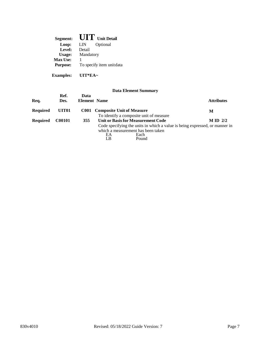| Segment:        | $\mathbf{U}\mathbf{I}'\mathbf{I}'$ Unit Detail |
|-----------------|------------------------------------------------|
| Loop:           | LIN<br>Optional                                |
| Level:          | Detail                                         |
| Usage:          | Mandatory                                      |
| <b>Max Use:</b> |                                                |
| <b>Purpose:</b> | To specify item unitdata                       |
|                 |                                                |

**Examples: UIT\*EA~**

|          |                   |                             | <b>Data Element Summary</b>                                                                                                                    |                   |
|----------|-------------------|-----------------------------|------------------------------------------------------------------------------------------------------------------------------------------------|-------------------|
| Req.     | Ref.<br>Des.      | Data<br><b>Element Name</b> |                                                                                                                                                | <b>Attributes</b> |
| Required | UIT <sub>01</sub> | C001                        | <b>Composite Unit of Measure</b><br>To identify a composite unit of measure                                                                    | М                 |
| Required | <b>C00101</b>     | 355                         | <b>Unit or Basis for Measurement Code</b>                                                                                                      | $M$ ID $2/2$      |
|          |                   |                             | Code specifying the units in which a value is being expressed, or manner in<br>which a measurement has been taken<br>Each<br>ЕA<br>Pound<br>LB |                   |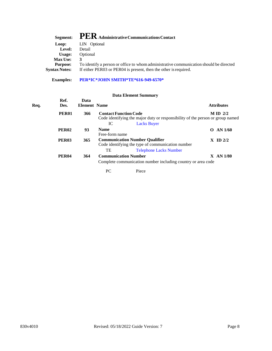| Segment:             | $\mathbf{PER}\xspace$ Administrative Communications Contact                            |
|----------------------|----------------------------------------------------------------------------------------|
| Loop:                | LIN Optional                                                                           |
| Level:               | Detail                                                                                 |
| Usage:               | Optional                                                                               |
| <b>Max Use:</b>      |                                                                                        |
| <b>Purpose:</b>      | To identify a person or office to whom administrative communication should be directed |
| <b>Syntax Notes:</b> | If either PER03 or PER04 is present, then the other is required.                       |
|                      |                                                                                        |

**Examples: PER\*IC\*JOHN SMITH\*TE\*616-949-6570\***

#### **Data Element Summary**

| Req. |  |  |
|------|--|--|
|      |  |  |
|      |  |  |
|      |  |  |

| Req. | Ref.<br>Des. | Data<br><b>Element Name</b> |                                                                                                                | <b>Attributes</b>          |
|------|--------------|-----------------------------|----------------------------------------------------------------------------------------------------------------|----------------------------|
|      | <b>PER01</b> | 366                         | <b>Contact Function Code</b><br>Code identifying the major duty or responsibility of the person or group named | $M ID$ 2/2                 |
|      |              |                             | IC<br><b>Lacks Buyer</b>                                                                                       |                            |
|      | <b>PER02</b> | 93                          | <b>Name</b><br>Free-form name                                                                                  | <b>AN 1/60</b><br>$\Omega$ |
|      | <b>PER03</b> | 365                         | <b>Communication Number Qualifier</b><br>Code identifying the type of communication number                     | $X$ ID $2/2$               |
|      |              |                             | <b>Telephone Lacks Number</b><br>TE                                                                            |                            |
|      | <b>PER04</b> | 364                         | <b>Communication Number</b><br>Complete communication number including country or area code                    | $X$ AN $1/80$              |

PC Piece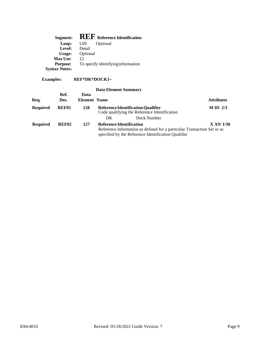| Segment:             | <b>REF</b> Reference Identification |
|----------------------|-------------------------------------|
| Loop:                | Optional<br>LIN                     |
| Level:               | Detail                              |
| Usage:               | Optional                            |
| <b>Max Use:</b>      | 12                                  |
| <b>Purpose:</b>      | To specify identifying information  |
| <b>Syntax Notes:</b> |                                     |

## **Examples: REF\*DK\*DOCK1~**

| Req.            | Ref.<br>Des.      | Data<br><b>Element</b> Name | <b>Data Element Summary</b>     |                                                                                                                                | <b>Attributes</b> |
|-----------------|-------------------|-----------------------------|---------------------------------|--------------------------------------------------------------------------------------------------------------------------------|-------------------|
| <b>Required</b> | REF01             | 128                         |                                 | <b>Reference Identification Qualifier</b><br>Code qualifying the Reference Identification                                      | $M$ ID $2/3$      |
|                 |                   |                             | DK.                             | Dock Number                                                                                                                    |                   |
| <b>Required</b> | REF <sub>02</sub> | 127                         | <b>Reference Identification</b> | Reference information as defined for a particular Transaction Set or as<br>specified by the Reference Identification Qualifier | <b>XAN 1/30</b>   |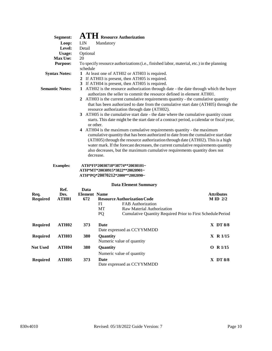|                                                                                                                                                                                                                                                                                              | Segment:                  |                            | $\mathbf{ATH}$ Resource Authorization                                                                                                                                                                                                                                                                                                                                                                                                                                                                                                                                                                                                                                                                                                                                                                                                                                                                                       |  |                                 |
|----------------------------------------------------------------------------------------------------------------------------------------------------------------------------------------------------------------------------------------------------------------------------------------------|---------------------------|----------------------------|-----------------------------------------------------------------------------------------------------------------------------------------------------------------------------------------------------------------------------------------------------------------------------------------------------------------------------------------------------------------------------------------------------------------------------------------------------------------------------------------------------------------------------------------------------------------------------------------------------------------------------------------------------------------------------------------------------------------------------------------------------------------------------------------------------------------------------------------------------------------------------------------------------------------------------|--|---------------------------------|
|                                                                                                                                                                                                                                                                                              | Loop:                     | LIN                        | Mandatory                                                                                                                                                                                                                                                                                                                                                                                                                                                                                                                                                                                                                                                                                                                                                                                                                                                                                                                   |  |                                 |
|                                                                                                                                                                                                                                                                                              | Level:                    | Detail                     |                                                                                                                                                                                                                                                                                                                                                                                                                                                                                                                                                                                                                                                                                                                                                                                                                                                                                                                             |  |                                 |
|                                                                                                                                                                                                                                                                                              | Usage:                    | Optional                   |                                                                                                                                                                                                                                                                                                                                                                                                                                                                                                                                                                                                                                                                                                                                                                                                                                                                                                                             |  |                                 |
|                                                                                                                                                                                                                                                                                              | <b>Max Use:</b>           | 20                         |                                                                                                                                                                                                                                                                                                                                                                                                                                                                                                                                                                                                                                                                                                                                                                                                                                                                                                                             |  |                                 |
| <b>Purpose:</b><br>To specify resource authorizations (i.e., finished labor, material, etc.) in the planning<br>schedule                                                                                                                                                                     |                           |                            |                                                                                                                                                                                                                                                                                                                                                                                                                                                                                                                                                                                                                                                                                                                                                                                                                                                                                                                             |  |                                 |
| 1 At least one of ATH02 or ATH03 is required.<br><b>Syntax Notes:</b><br>2 If ATH03 is present, then ATH05 is required.<br>3 If ATH04 is present, then ATH05 is required.<br>1 ATH02 is the resource authorization through date - the date through which the buyer<br><b>Semantic Notes:</b> |                           |                            |                                                                                                                                                                                                                                                                                                                                                                                                                                                                                                                                                                                                                                                                                                                                                                                                                                                                                                                             |  |                                 |
|                                                                                                                                                                                                                                                                                              |                           | or other.                  | authorizes the seller to commit the resource defined in element ATH01.<br>2 ATH03 is the current cumulative requirements quantity - the cumulative quantity<br>that has been authorized to date from the cumulative start date (ATH05) through the<br>resource authorization through date (ATH02).<br>3 ATH05 is the cumulative start date - the date where the cumulative quantity count<br>starts. This date might be the start date of a contract period, a calendar or fiscal year,<br>4 ATH04 is the maximum cumulative requirements quantity - the maximum<br>cumulative quantity that has been authorized to date from the cumulative start date<br>(ATH05) through the resource authorization through date (ATH02). This is a high<br>water mark. If the forecast decreases, the current cumulative requirements quantity<br>also decreases, but the maximum cumulative requirements quantity does not<br>decrease. |  |                                 |
|                                                                                                                                                                                                                                                                                              | <b>Examples:</b>          |                            | ATH*FI*20030718*38774**20030101~<br>ATH*MT*20030915*3822**20020901~<br>ATH*PQ*20070212*2000**2002090~                                                                                                                                                                                                                                                                                                                                                                                                                                                                                                                                                                                                                                                                                                                                                                                                                       |  |                                 |
|                                                                                                                                                                                                                                                                                              | Ref.                      | Data                       | <b>Data Element Summary</b>                                                                                                                                                                                                                                                                                                                                                                                                                                                                                                                                                                                                                                                                                                                                                                                                                                                                                                 |  |                                 |
| Req.<br><b>Required</b>                                                                                                                                                                                                                                                                      | Des.<br>ATH <sub>01</sub> | <b>Element Name</b><br>672 | <b>Resource Authorization Code</b><br>FI<br><b>FAB</b> Authorization<br>MT<br>Raw Material Authorization<br>Cumulative Quantity Required Prior to First Schedule Period<br><b>PQ</b>                                                                                                                                                                                                                                                                                                                                                                                                                                                                                                                                                                                                                                                                                                                                        |  | <b>Attributes</b><br>$M ID$ 2/2 |
| <b>Required</b>                                                                                                                                                                                                                                                                              | ATH <sub>02</sub>         | 373                        | Date<br>Date expressed as CCYYMMDD                                                                                                                                                                                                                                                                                                                                                                                                                                                                                                                                                                                                                                                                                                                                                                                                                                                                                          |  | $X$ DT $8/8$                    |
| <b>Required</b>                                                                                                                                                                                                                                                                              | <b>ATH03</b>              | 380                        | Quantity<br>Numeric value of quantity                                                                                                                                                                                                                                                                                                                                                                                                                                                                                                                                                                                                                                                                                                                                                                                                                                                                                       |  | X R 1/15                        |
| <b>Not Used</b>                                                                                                                                                                                                                                                                              | ATH04                     | 380                        | Quantity                                                                                                                                                                                                                                                                                                                                                                                                                                                                                                                                                                                                                                                                                                                                                                                                                                                                                                                    |  | O R 1/15                        |
|                                                                                                                                                                                                                                                                                              |                           |                            | Numeric value of quantity                                                                                                                                                                                                                                                                                                                                                                                                                                                                                                                                                                                                                                                                                                                                                                                                                                                                                                   |  |                                 |
| <b>Required</b>                                                                                                                                                                                                                                                                              | <b>ATH05</b>              | 373                        | <b>Date</b><br>Date expressed as CCYYMMDD                                                                                                                                                                                                                                                                                                                                                                                                                                                                                                                                                                                                                                                                                                                                                                                                                                                                                   |  | X DT 8/8                        |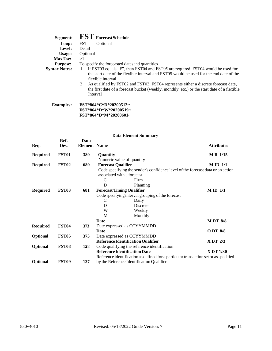| Segment:             | <b>FST</b> Forecast Schedule                                                                                                                                                                                                                                                                                                                                                                               |
|----------------------|------------------------------------------------------------------------------------------------------------------------------------------------------------------------------------------------------------------------------------------------------------------------------------------------------------------------------------------------------------------------------------------------------------|
| Loop:                | <b>FST</b><br>Optional                                                                                                                                                                                                                                                                                                                                                                                     |
| Level:               | Detail                                                                                                                                                                                                                                                                                                                                                                                                     |
| Usage:               | Optional                                                                                                                                                                                                                                                                                                                                                                                                   |
| <b>Max Use:</b>      | >1                                                                                                                                                                                                                                                                                                                                                                                                         |
| <b>Purpose:</b>      | To specify the forecasted dates and quantities                                                                                                                                                                                                                                                                                                                                                             |
| <b>Syntax Notes:</b> | If FST03 equals "F", then FST04 and FST05 are required. FST04 would be used for<br>1<br>the start date of the flexible interval and FST05 would be used for the end date of the<br>flexible interval<br>As qualified by FST02 and FST03, FST04 represents either a discrete forecast date,<br>2<br>the first date of a forecast bucket (weekly, monthly, etc.) or the start date of a flexible<br>Interval |
| <b>Examples:</b>     | FST*864*C*D*20200512~<br>FST*864*D*W*20200519~                                                                                                                                                                                                                                                                                                                                                             |

**FST\*864\*D\*M\*20200601~**

| Req.            | Ref.<br>Des.      | Data<br><b>Element Name</b> |          |                                                                                      | <b>Attributes</b> |
|-----------------|-------------------|-----------------------------|----------|--------------------------------------------------------------------------------------|-------------------|
| <b>Required</b> | <b>FST01</b>      | 380                         | Quantity |                                                                                      | M R 1/15          |
|                 |                   |                             |          | Numeric value of quantity                                                            |                   |
| <b>Required</b> | FST <sub>02</sub> | 680                         |          | <b>Forecast Qualifier</b>                                                            | $M ID$ 1/1        |
|                 |                   |                             |          | Code specifying the sender's confidence level of the forecast data or an action      |                   |
|                 |                   |                             |          | associated with a forecast                                                           |                   |
|                 |                   |                             | C        | Firm                                                                                 |                   |
|                 |                   |                             | D        | Planning                                                                             |                   |
| <b>Required</b> | FST <sub>03</sub> | 681                         |          | <b>Forecast Timing Qualifier</b>                                                     | $M ID$ 1/1        |
|                 |                   |                             |          | Code specifying interval grouping of the forecast                                    |                   |
|                 |                   |                             | C        | Daily                                                                                |                   |
|                 |                   |                             | D        | <b>Discrete</b>                                                                      |                   |
|                 |                   |                             | W        | Weekly                                                                               |                   |
|                 |                   |                             | M        | Monthly                                                                              |                   |
|                 |                   |                             | Date     |                                                                                      | <b>MDT 8/8</b>    |
| <b>Required</b> | FST <sub>04</sub> | 373                         |          | Date expressed as CCYYMMDD                                                           |                   |
|                 |                   |                             | Date     |                                                                                      | ODT 8/8           |
| Optional        | FST <sub>05</sub> | 373                         |          | Date expressed as CCYYMMDD                                                           |                   |
|                 |                   |                             |          | <b>Reference Identification Qualifier</b>                                            | X DT 2/3          |
| <b>Optional</b> | FST <sub>08</sub> | 128                         |          | Code qualifying the reference identification                                         |                   |
|                 |                   |                             |          | <b>Reference Identification Date</b>                                                 | X DT 1/30         |
|                 |                   |                             |          | Reference identification as defined for a particular transaction set or as specified |                   |
| <b>Optional</b> | <b>FST09</b>      | 127                         |          | by the Reference Identification Qualifier                                            |                   |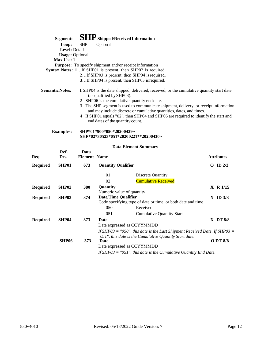| Segment:               | <b>SHP</b> Shipped/Received Information                                                                                                                        |
|------------------------|----------------------------------------------------------------------------------------------------------------------------------------------------------------|
| Loop:                  | <b>SHP</b><br>Optional                                                                                                                                         |
| Level: Detail          |                                                                                                                                                                |
| <b>Usage: Optional</b> |                                                                                                                                                                |
| Max Use: 1             |                                                                                                                                                                |
|                        | <b>Purpose:</b> To specify shipment and/or receipt information                                                                                                 |
|                        | <b>Syntax Notes: 1</b> If SHP01 is present, then SHP02 is required.                                                                                            |
|                        | 2If SHP03 is present, then SHP04 is required.                                                                                                                  |
|                        | 3If SHP04 is present, then SHP03 is required.                                                                                                                  |
| <b>Semantic Notes:</b> | 1 SHP04 is the date shipped, delivered, received, or the cumulative quantity start date<br>(as qualified by SHP03).                                            |
|                        | 2 SHP06 is the cumulative quantity end date.                                                                                                                   |
|                        | The SHP segment is used to communicate shipment, delivery, or receipt information<br>3<br>and may include discrete or cumulative quantities, dates, and times. |
|                        | 4 If SHP01 equals "02", then SHP04 and SHP06 are required to identify the start and<br>end dates of the quantity count.                                        |
| <b>Examples:</b>       | SHP*01*900*050*20200429~<br>SHP*02*30523*051*20200221**20200430~                                                                                               |
|                        | <b>Data Element Summary</b>                                                                                                                                    |

| Req.            | Ref.<br>Des.      | Data<br><b>Element Name</b> |                                              |                                                                                                    | <b>Attributes</b> |
|-----------------|-------------------|-----------------------------|----------------------------------------------|----------------------------------------------------------------------------------------------------|-------------------|
| <b>Required</b> | SHP01             | 673                         | <b>Quantity Qualifier</b>                    |                                                                                                    | ID $2/2$<br>O     |
|                 |                   |                             | 01                                           | Discrete Quantity                                                                                  |                   |
|                 |                   |                             | 02                                           | <b>Cumulative Received</b>                                                                         |                   |
| <b>Required</b> | SHP <sub>02</sub> | <b>380</b>                  | <b>Quantity</b><br>Numeric value of quantity |                                                                                                    | $X \ R 1/15$      |
| <b>Required</b> | SHP <sub>03</sub> | 374                         |                                              | Date/Time Qualifier<br>$X$ ID $3/3$<br>Code specifying type of date or time, or both date and time |                   |
|                 |                   |                             | 050                                          | Received                                                                                           |                   |
|                 |                   |                             | 051                                          | <b>Cumulative Quantity Start</b>                                                                   |                   |
| <b>Required</b> | SHP04             | 373                         | Date                                         |                                                                                                    | $X$ DT $8/8$      |
|                 |                   |                             | Date expressed as CCYYMMDD                   |                                                                                                    |                   |
|                 |                   |                             |                                              | If SHP03 = "050", this date is the Last Shipment Received Date. If SHP03 =                         |                   |
|                 |                   |                             |                                              | "051", this date is the Cumulative Quantity Start date.                                            |                   |
|                 | SHP06             | 373                         | Date                                         |                                                                                                    | O DT 8/8          |
|                 |                   |                             | Date expressed as CCYYMMDD                   |                                                                                                    |                   |
|                 |                   |                             |                                              | If SHP03 = "051", this date is the Cumulative Quantity End Date.                                   |                   |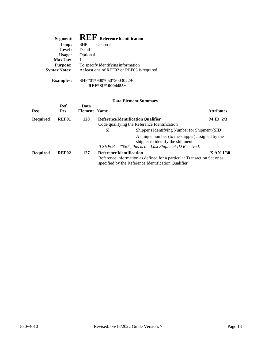| Segment:             | <b>REF</b> Reference Identification         |
|----------------------|---------------------------------------------|
| Loop:                | <b>SHP</b><br>Optional                      |
| Level:               | Detail                                      |
| Usage:               | Optional                                    |
| Max Use:             |                                             |
| <b>Purpose:</b>      | To specify identifying information          |
| <b>Syntax Notes:</b> | At least one of REF02 or REF03 is required. |
| <b>Examples:</b>     | SHP*01*900*050*20030229~                    |

**REF\*SI\*10004455~**

| Req.            | Ref.<br>Des. | Data<br><b>Element Name</b> |                                 |                                                                                                                                         | <b>Attributes</b> |
|-----------------|--------------|-----------------------------|---------------------------------|-----------------------------------------------------------------------------------------------------------------------------------------|-------------------|
| <b>Required</b> | <b>REF01</b> | 128                         |                                 | <b>Reference Identification Qualifier</b><br>Code qualifying the Reference Identification                                               | $M ID$ 2/3        |
|                 |              |                             | SI                              | Shipper's Identifying Number for Shipment (SID)<br>A unique number (to the shipper) assigned by the<br>shipper to identify the shipment |                   |
|                 |              |                             |                                 | If SHP03 = $"050"$ , this is the Last Shipment ID Received.                                                                             |                   |
| <b>Required</b> | <b>REF02</b> | 127                         | <b>Reference Identification</b> | Reference information as defined for a particular Transaction Set or as<br>specified by the Reference Identification Qualifier          | X AN 1/30         |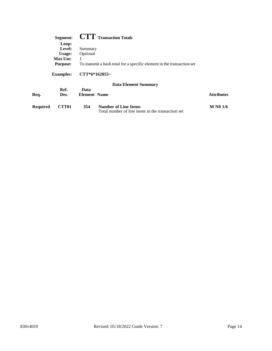|          | Segment:         |                                                                        | <b>CTT</b> Transaction Totals                                                    |                   |  |  |
|----------|------------------|------------------------------------------------------------------------|----------------------------------------------------------------------------------|-------------------|--|--|
|          | Loop:            |                                                                        |                                                                                  |                   |  |  |
|          | Level:           | Summary                                                                |                                                                                  |                   |  |  |
|          | Usage:           | Optional                                                               |                                                                                  |                   |  |  |
|          | <b>Max Use:</b>  | 1                                                                      |                                                                                  |                   |  |  |
|          | <b>Purpose:</b>  | To transmit a hash total for a specific element in the transaction set |                                                                                  |                   |  |  |
|          | <b>Examples:</b> | $CTT*6*162055-$                                                        |                                                                                  |                   |  |  |
|          |                  |                                                                        | <b>Data Element Summary</b>                                                      |                   |  |  |
|          | Ref.             | Data                                                                   |                                                                                  |                   |  |  |
| Req.     | Des.             | <b>Element</b> Name                                                    |                                                                                  | <b>Attributes</b> |  |  |
| Required | CTT01            | 354                                                                    | <b>Number of Line Items</b><br>Total number of line items in the transaction set | <b>M N0 1/6</b>   |  |  |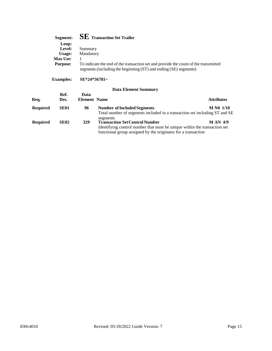| Segment:        | $\mathbf{SE}\:$ Transaction Set Trailer                                                                                                                 |
|-----------------|---------------------------------------------------------------------------------------------------------------------------------------------------------|
| Loop:           |                                                                                                                                                         |
| Level:          | Summary                                                                                                                                                 |
| Usage:          | Mandatory                                                                                                                                               |
| <b>Max Use:</b> |                                                                                                                                                         |
| <b>Purpose:</b> | To indicate the end of the transaction set and provide the count of the transmitted<br>segments (including the beginning (ST) and ending (SE) segments) |

**Examples: SE\*24\*56781~**

| Ref.<br>Des. | Data |                                                                            | <b>Attributes</b>   |
|--------------|------|----------------------------------------------------------------------------|---------------------|
| <b>SE01</b>  | 96   | <b>Number of Included Segments</b>                                         | M N0 1/10           |
|              |      | Total number of segments included in a transaction set including ST and SE |                     |
|              |      | segments                                                                   |                     |
| <b>SE02</b>  | 329  | <b>Transaction Set Control Number</b>                                      | <b>MAN 4/9</b>      |
|              |      | Identifying control number that must be unique within the transaction set  |                     |
|              |      | functional group assigned by the originator for a transaction              |                     |
|              |      |                                                                            | <b>Element Name</b> |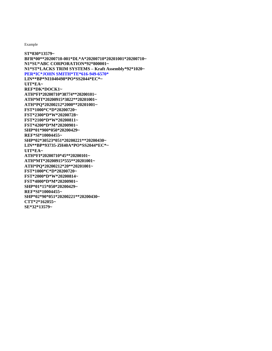Example

**ST\*830\*13579~ BFR\*00\*\*20200710-001\*DL\*A\*20200710\*20201001\*20200710~ N1\*SU\*ABC CORPORATION\*92\*800001~ N1\*ST\*LACKS TRIM SYSTEMS – Kraft Assembly\*92\*1020~ PER\*IC\*JOHN SMITH\*TE\*616-949-6570\* LIN\*\*BP\*NI1040498\*PO\*SS2044\*EC\*~ UIT\*EA~ REF\*DK\*DOCK1~ ATH\*FI\*20200710\*38774\*\*20200101~ ATH\*MT\*20200915\*3822\*\*20201001~ ATH\*PQ\*20200212\*2000\*\*20201001~ FST\*1000\*C\*D\*20200720~ FST\*2300\*D\*W\*20200728~ FST\*2100\*D\*W\*20200811~ FST\*4200\*D\*M\*20200901~ SHP\*01\*900\*050\*20200429~ REF\*SI\*10004455~ SHP\*02\*30523\*051\*20200221\*\*20200430~ LIN\*\*BP\*93735-ZH40A\*PO\*SS2044\*EC\*~ UIT\*EA~ ATH\*FI\*20200710\*45\*\*20200101~ ATH\*MT\*20200915\*555\*\*20201001~ ATH\*PQ\*20200212\*20\*\*20201001~ FST\*1000\*C\*D\*20200720~ FST\*2000\*D\*W\*20200814~ FST\*4000\*D\*M\*20200901~ SHP\*01\*15\*050\*20200429~ REF\*SI\*10004455~ SHP\*02\*90\*051\*20200221\*\*20200430~ CTT\*2\*162055~ SE\*32\*13579~**